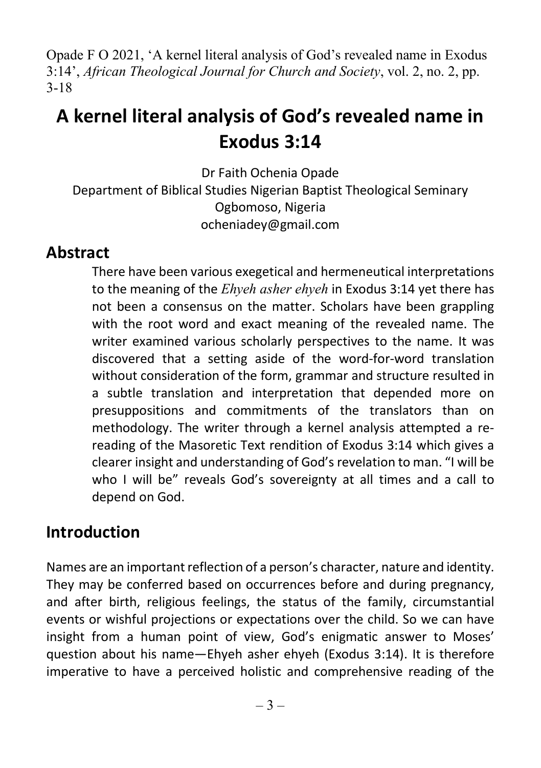Opade F O 2021, 'A kernel literal analysis of God's revealed name in Exodus 3:14', African Theological Journal for Church and Society, vol. 2, no. 2, pp. 3-18

# A kernel literal analysis of God's revealed name in Exodus 3:14

Dr Faith Ochenia Opade Department of Biblical Studies Nigerian Baptist Theological Seminary Ogbomoso, Nigeria ocheniadey@gmail.com

#### Abstract

There have been various exegetical and hermeneutical interpretations to the meaning of the *Ehyeh asher ehyeh* in Exodus 3:14 yet there has not been a consensus on the matter. Scholars have been grappling with the root word and exact meaning of the revealed name. The writer examined various scholarly perspectives to the name. It was discovered that a setting aside of the word-for-word translation without consideration of the form, grammar and structure resulted in a subtle translation and interpretation that depended more on presuppositions and commitments of the translators than on methodology. The writer through a kernel analysis attempted a rereading of the Masoretic Text rendition of Exodus 3:14 which gives a clearer insight and understanding of God's revelation to man. "I will be who I will be" reveals God's sovereignty at all times and a call to depend on God.

#### Introduction

Names are an important reflection of a person's character, nature and identity. They may be conferred based on occurrences before and during pregnancy, and after birth, religious feelings, the status of the family, circumstantial events or wishful projections or expectations over the child. So we can have insight from a human point of view, God's enigmatic answer to Moses' question about his name—Ehyeh asher ehyeh (Exodus 3:14). It is therefore imperative to have a perceived holistic and comprehensive reading of the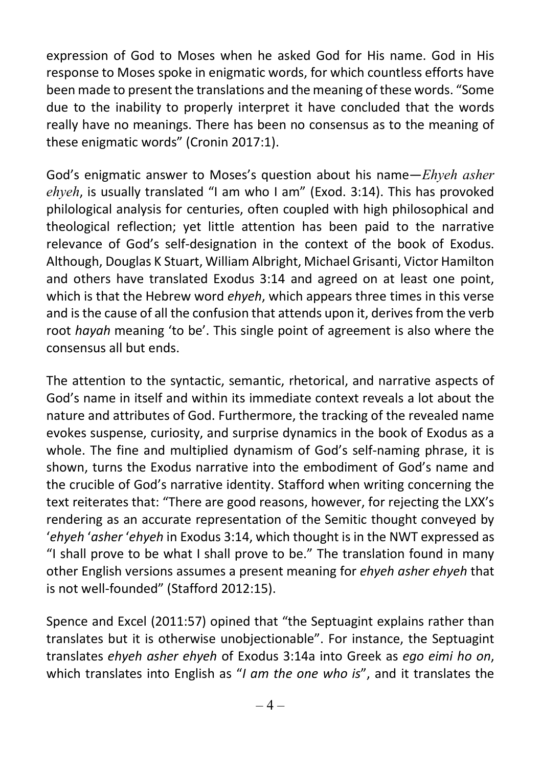expression of God to Moses when he asked God for His name. God in His response to Moses spoke in enigmatic words, for which countless efforts have been made to present the translations and the meaning of these words. "Some due to the inability to properly interpret it have concluded that the words really have no meanings. There has been no consensus as to the meaning of these enigmatic words" (Cronin 2017:1).

God's enigmatic answer to Moses's question about his name—*Ehyeh asher* ehyeh, is usually translated "I am who I am" (Exod. 3:14). This has provoked philological analysis for centuries, often coupled with high philosophical and theological reflection; yet little attention has been paid to the narrative relevance of God's self-designation in the context of the book of Exodus. Although, Douglas K Stuart, William Albright, Michael Grisanti, Victor Hamilton and others have translated Exodus 3:14 and agreed on at least one point, which is that the Hebrew word ehyeh, which appears three times in this verse and is the cause of all the confusion that attends upon it, derives from the verb root hayah meaning 'to be'. This single point of agreement is also where the consensus all but ends.

The attention to the syntactic, semantic, rhetorical, and narrative aspects of God's name in itself and within its immediate context reveals a lot about the nature and attributes of God. Furthermore, the tracking of the revealed name evokes suspense, curiosity, and surprise dynamics in the book of Exodus as a whole. The fine and multiplied dynamism of God's self-naming phrase, it is shown, turns the Exodus narrative into the embodiment of God's name and the crucible of God's narrative identity. Stafford when writing concerning the text reiterates that: "There are good reasons, however, for rejecting the LXX's rendering as an accurate representation of the Semitic thought conveyed by 'ehyeh 'asher 'ehyeh in Exodus 3:14, which thought is in the NWT expressed as "I shall prove to be what I shall prove to be." The translation found in many other English versions assumes a present meaning for ehyeh asher ehyeh that is not well-founded" (Stafford 2012:15).

Spence and Excel (2011:57) opined that "the Septuagint explains rather than translates but it is otherwise unobjectionable". For instance, the Septuagint translates ehyeh asher ehyeh of Exodus 3:14a into Greek as ego eimi ho on, which translates into English as "I am the one who is", and it translates the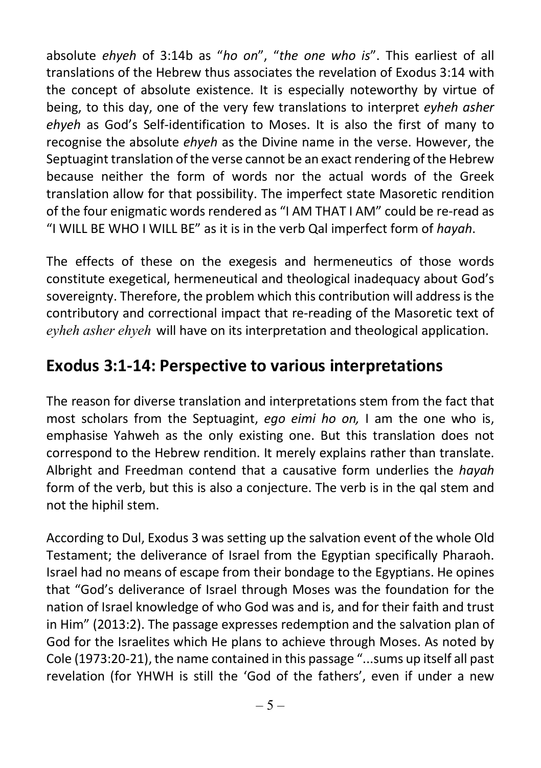absolute ehyeh of 3:14b as "ho on", "the one who is". This earliest of all translations of the Hebrew thus associates the revelation of Exodus 3:14 with the concept of absolute existence. It is especially noteworthy by virtue of being, to this day, one of the very few translations to interpret eyheh asher ehyeh as God's Self-identification to Moses. It is also the first of many to recognise the absolute ehyeh as the Divine name in the verse. However, the Septuagint translation of the verse cannot be an exact rendering of the Hebrew because neither the form of words nor the actual words of the Greek translation allow for that possibility. The imperfect state Masoretic rendition of the four enigmatic words rendered as "I AM THAT I AM" could be re-read as "I WILL BE WHO I WILL BE" as it is in the verb Qal imperfect form of hayah.

The effects of these on the exegesis and hermeneutics of those words constitute exegetical, hermeneutical and theological inadequacy about God's sovereignty. Therefore, the problem which this contribution will address is the contributory and correctional impact that re-reading of the Masoretic text of eyheh asher ehyeh will have on its interpretation and theological application.

### Exodus 3:1-14: Perspective to various interpretations

The reason for diverse translation and interpretations stem from the fact that most scholars from the Septuagint, ego eimi ho on. I am the one who is, emphasise Yahweh as the only existing one. But this translation does not correspond to the Hebrew rendition. It merely explains rather than translate. Albright and Freedman contend that a causative form underlies the *hayah* form of the verb, but this is also a conjecture. The verb is in the qal stem and not the hiphil stem.

According to Dul, Exodus 3 was setting up the salvation event of the whole Old Testament; the deliverance of Israel from the Egyptian specifically Pharaoh. Israel had no means of escape from their bondage to the Egyptians. He opines that "God's deliverance of Israel through Moses was the foundation for the nation of Israel knowledge of who God was and is, and for their faith and trust in Him" (2013:2). The passage expresses redemption and the salvation plan of God for the Israelites which He plans to achieve through Moses. As noted by Cole (1973:20-21), the name contained in this passage "...sums up itself all past revelation (for YHWH is still the 'God of the fathers', even if under a new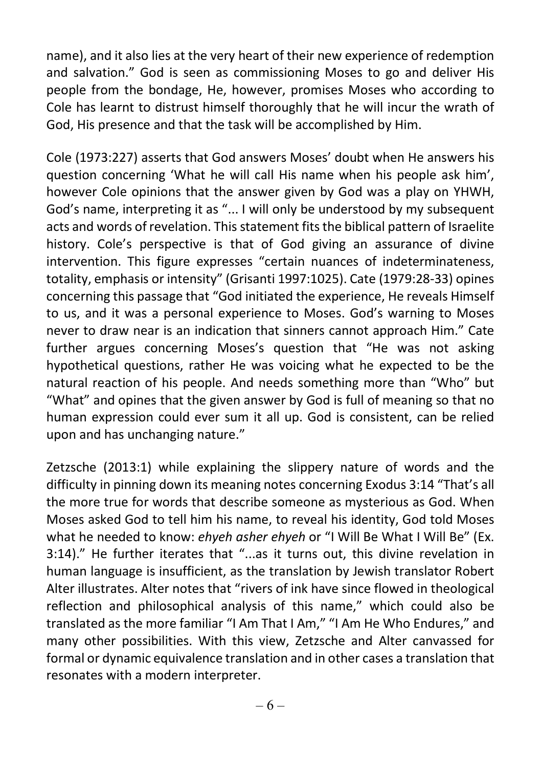name), and it also lies at the very heart of their new experience of redemption and salvation." God is seen as commissioning Moses to go and deliver His people from the bondage, He, however, promises Moses who according to Cole has learnt to distrust himself thoroughly that he will incur the wrath of God, His presence and that the task will be accomplished by Him.

Cole (1973:227) asserts that God answers Moses' doubt when He answers his question concerning 'What he will call His name when his people ask him', however Cole opinions that the answer given by God was a play on YHWH, God's name, interpreting it as "... I will only be understood by my subsequent acts and words of revelation. This statement fits the biblical pattern of Israelite history. Cole's perspective is that of God giving an assurance of divine intervention. This figure expresses "certain nuances of indeterminateness, totality, emphasis or intensity" (Grisanti 1997:1025). Cate (1979:28-33) opines concerning this passage that "God initiated the experience, He reveals Himself to us, and it was a personal experience to Moses. God's warning to Moses never to draw near is an indication that sinners cannot approach Him." Cate further argues concerning Moses's question that "He was not asking hypothetical questions, rather He was voicing what he expected to be the natural reaction of his people. And needs something more than "Who" but "What" and opines that the given answer by God is full of meaning so that no human expression could ever sum it all up. God is consistent, can be relied upon and has unchanging nature."

Zetzsche (2013:1) while explaining the slippery nature of words and the difficulty in pinning down its meaning notes concerning Exodus 3:14 "That's all the more true for words that describe someone as mysterious as God. When Moses asked God to tell him his name, to reveal his identity, God told Moses what he needed to know: ehyeh asher ehyeh or "I Will Be What I Will Be" (Ex. 3:14)." He further iterates that "...as it turns out, this divine revelation in human language is insufficient, as the translation by Jewish translator Robert Alter illustrates. Alter notes that "rivers of ink have since flowed in theological reflection and philosophical analysis of this name," which could also be translated as the more familiar "I Am That I Am," "I Am He Who Endures," and many other possibilities. With this view, Zetzsche and Alter canvassed for formal or dynamic equivalence translation and in other cases a translation that resonates with a modern interpreter.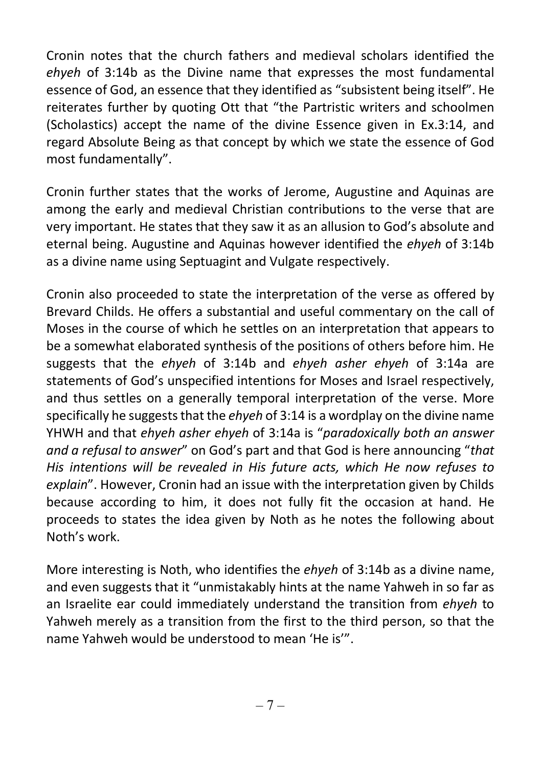Cronin notes that the church fathers and medieval scholars identified the ehyeh of 3:14b as the Divine name that expresses the most fundamental essence of God, an essence that they identified as "subsistent being itself". He reiterates further by quoting Ott that "the Partristic writers and schoolmen (Scholastics) accept the name of the divine Essence given in Ex.3:14, and regard Absolute Being as that concept by which we state the essence of God most fundamentally".

Cronin further states that the works of Jerome, Augustine and Aquinas are among the early and medieval Christian contributions to the verse that are very important. He states that they saw it as an allusion to God's absolute and eternal being. Augustine and Aquinas however identified the ehyeh of 3:14b as a divine name using Septuagint and Vulgate respectively.

Cronin also proceeded to state the interpretation of the verse as offered by Brevard Childs. He offers a substantial and useful commentary on the call of Moses in the course of which he settles on an interpretation that appears to be a somewhat elaborated synthesis of the positions of others before him. He suggests that the ehyeh of 3:14b and ehyeh asher ehyeh of 3:14a are statements of God's unspecified intentions for Moses and Israel respectively, and thus settles on a generally temporal interpretation of the verse. More specifically he suggests that the *ehyeh* of  $3:14$  is a wordplay on the divine name YHWH and that ehyeh asher ehyeh of 3:14a is "paradoxically both an answer and a refusal to answer" on God's part and that God is here announcing "that His intentions will be revealed in His future acts, which He now refuses to explain". However, Cronin had an issue with the interpretation given by Childs because according to him, it does not fully fit the occasion at hand. He proceeds to states the idea given by Noth as he notes the following about Noth's work.

More interesting is Noth, who identifies the ehyeh of 3:14b as a divine name, and even suggests that it "unmistakably hints at the name Yahweh in so far as an Israelite ear could immediately understand the transition from ehyeh to Yahweh merely as a transition from the first to the third person, so that the name Yahweh would be understood to mean 'He is'".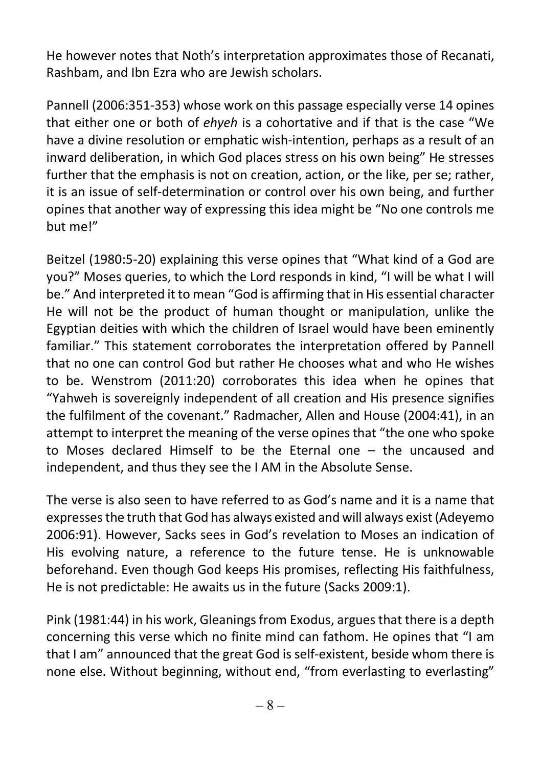He however notes that Noth's interpretation approximates those of Recanati, Rashbam, and Ibn Ezra who are Jewish scholars.

Pannell (2006:351-353) whose work on this passage especially verse 14 opines that either one or both of ehyeh is a cohortative and if that is the case "We have a divine resolution or emphatic wish-intention, perhaps as a result of an inward deliberation, in which God places stress on his own being" He stresses further that the emphasis is not on creation, action, or the like, per se; rather, it is an issue of self-determination or control over his own being, and further opines that another way of expressing this idea might be "No one controls me but me!"

Beitzel (1980:5-20) explaining this verse opines that "What kind of a God are you?" Moses queries, to which the Lord responds in kind, "I will be what I will be." And interpreted it to mean "God is affirming that in His essential character He will not be the product of human thought or manipulation, unlike the Egyptian deities with which the children of Israel would have been eminently familiar." This statement corroborates the interpretation offered by Pannell that no one can control God but rather He chooses what and who He wishes to be. Wenstrom (2011:20) corroborates this idea when he opines that "Yahweh is sovereignly independent of all creation and His presence signifies the fulfilment of the covenant." Radmacher, Allen and House (2004:41), in an attempt to interpret the meaning of the verse opines that "the one who spoke to Moses declared Himself to be the Eternal one – the uncaused and independent, and thus they see the I AM in the Absolute Sense.

The verse is also seen to have referred to as God's name and it is a name that expresses the truth that God has always existed and will always exist (Adeyemo 2006:91). However, Sacks sees in God's revelation to Moses an indication of His evolving nature, a reference to the future tense. He is unknowable beforehand. Even though God keeps His promises, reflecting His faithfulness, He is not predictable: He awaits us in the future (Sacks 2009:1).

Pink (1981:44) in his work, Gleanings from Exodus, argues that there is a depth concerning this verse which no finite mind can fathom. He opines that "I am that I am" announced that the great God is self-existent, beside whom there is none else. Without beginning, without end, "from everlasting to everlasting"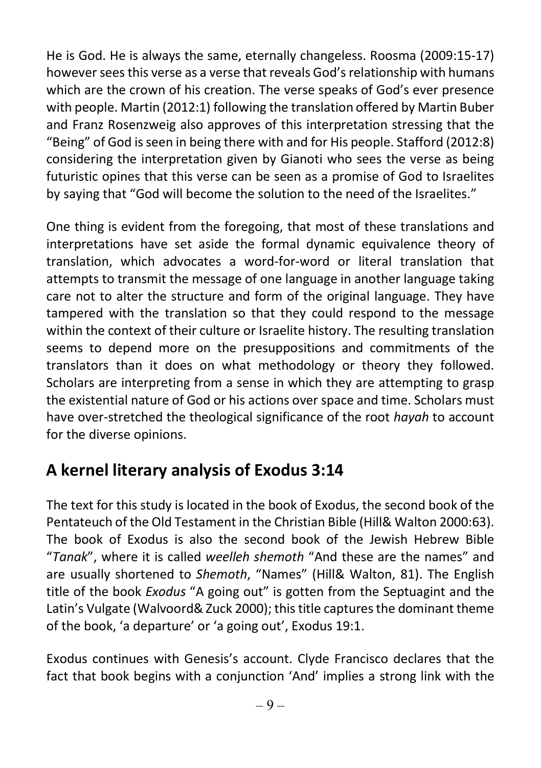He is God. He is always the same, eternally changeless. Roosma (2009:15-17) however sees this verse as a verse that reveals God's relationship with humans which are the crown of his creation. The verse speaks of God's ever presence with people. Martin (2012:1) following the translation offered by Martin Buber and Franz Rosenzweig also approves of this interpretation stressing that the "Being" of God is seen in being there with and for His people. Stafford (2012:8) considering the interpretation given by Gianoti who sees the verse as being futuristic opines that this verse can be seen as a promise of God to Israelites by saying that "God will become the solution to the need of the Israelites."

One thing is evident from the foregoing, that most of these translations and interpretations have set aside the formal dynamic equivalence theory of translation, which advocates a word-for-word or literal translation that attempts to transmit the message of one language in another language taking care not to alter the structure and form of the original language. They have tampered with the translation so that they could respond to the message within the context of their culture or Israelite history. The resulting translation seems to depend more on the presuppositions and commitments of the translators than it does on what methodology or theory they followed. Scholars are interpreting from a sense in which they are attempting to grasp the existential nature of God or his actions over space and time. Scholars must have over-stretched the theological significance of the root hayah to account for the diverse opinions.

### A kernel literary analysis of Exodus 3:14

The text for this study is located in the book of Exodus, the second book of the Pentateuch of the Old Testament in the Christian Bible (Hill& Walton 2000:63). The book of Exodus is also the second book of the Jewish Hebrew Bible "Tanak", where it is called weelleh shemoth "And these are the names" and are usually shortened to Shemoth, "Names" (Hill& Walton, 81). The English title of the book Exodus "A going out" is gotten from the Septuagint and the Latin's Vulgate (Walvoord& Zuck 2000); this title captures the dominant theme of the book, 'a departure' or 'a going out', Exodus 19:1.

Exodus continues with Genesis's account. Clyde Francisco declares that the fact that book begins with a conjunction 'And' implies a strong link with the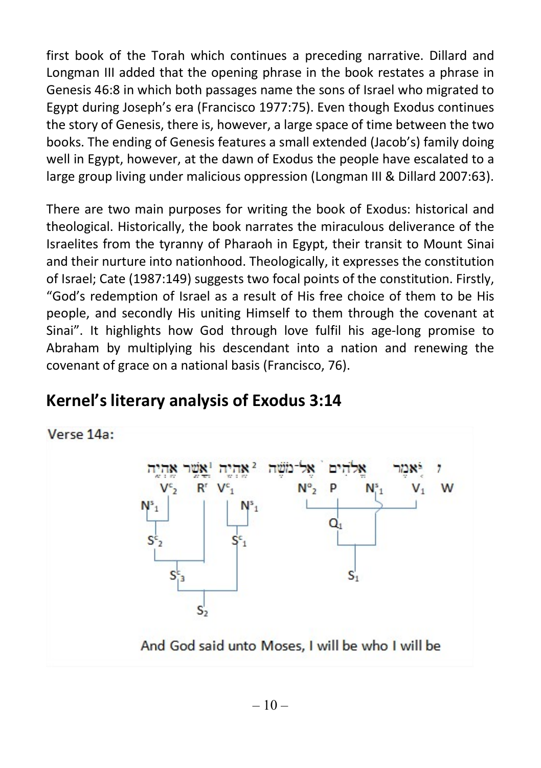first book of the Torah which continues a preceding narrative. Dillard and Longman III added that the opening phrase in the book restates a phrase in Genesis 46:8 in which both passages name the sons of Israel who migrated to Egypt during Joseph's era (Francisco 1977:75). Even though Exodus continues the story of Genesis, there is, however, a large space of time between the two books. The ending of Genesis features a small extended (Jacob's) family doing well in Egypt, however, at the dawn of Exodus the people have escalated to a large group living under malicious oppression (Longman III & Dillard 2007:63).

There are two main purposes for writing the book of Exodus: historical and theological. Historically, the book narrates the miraculous deliverance of the Israelites from the tyranny of Pharaoh in Egypt, their transit to Mount Sinai and their nurture into nationhood. Theologically, it expresses the constitution of Israel; Cate (1987:149) suggests two focal points of the constitution. Firstly, "God's redemption of Israel as a result of His free choice of them to be His people, and secondly His uniting Himself to them through the covenant at Sinai". It highlights how God through love fulfil his age-long promise to Abraham by multiplying his descendant into a nation and renewing the covenant of grace on a national basis (Francisco, 76).



### Kernel's literary analysis of Exodus 3:14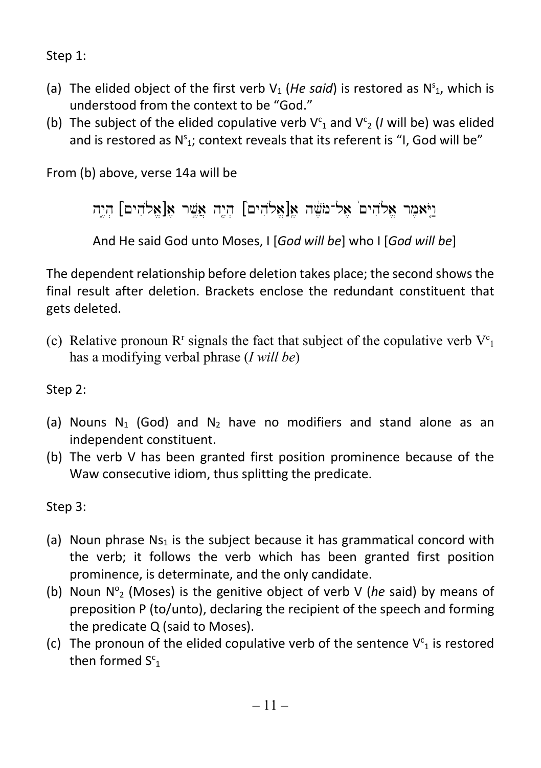Step 1:

- (a) The elided object of the first verb  $V_1$  (He said) is restored as  $N_{1}^s$ , which is understood from the context to be "God."
- (b) The subject of the elided copulative verb  $V_{1}^{c}$  and  $V_{2}^{c}$  (*I* will be) was elided and is restored as  $N_{1}$ ; context reveals that its referent is "I, God will be"

From (b) above, verse 14a will be

 $\sigma$ ויֹאמר אלהים אל־משה אֲ $[s]$ אַלהִים] הוה וואמר ויֹאמר ו

And He said God unto Moses, I [God will be] who I [God will be]

The dependent relationship before deletion takes place; the second shows the final result after deletion. Brackets enclose the redundant constituent that gets deleted.

(c) Relative pronoun  $R^r$  signals the fact that subject of the copulative verb  $V^c_1$ has a modifying verbal phrase (I will be)

Step 2:

- (a) Nouns  $N_1$  (God) and  $N_2$  have no modifiers and stand alone as an independent constituent.
- (b) The verb V has been granted first position prominence because of the Waw consecutive idiom, thus splitting the predicate.

Step 3:

- (a) Noun phrase  $Ns_1$  is the subject because it has grammatical concord with the verb; it follows the verb which has been granted first position prominence, is determinate, and the only candidate.
- (b) Noun  $N^{\circ}$  (Moses) is the genitive object of verb V (he said) by means of preposition P (to/unto), declaring the recipient of the speech and forming the predicate Q (said to Moses).
- (c) The pronoun of the elided copulative verb of the sentence  $V^c_1$  is restored then formed  $S_{1}^{c}$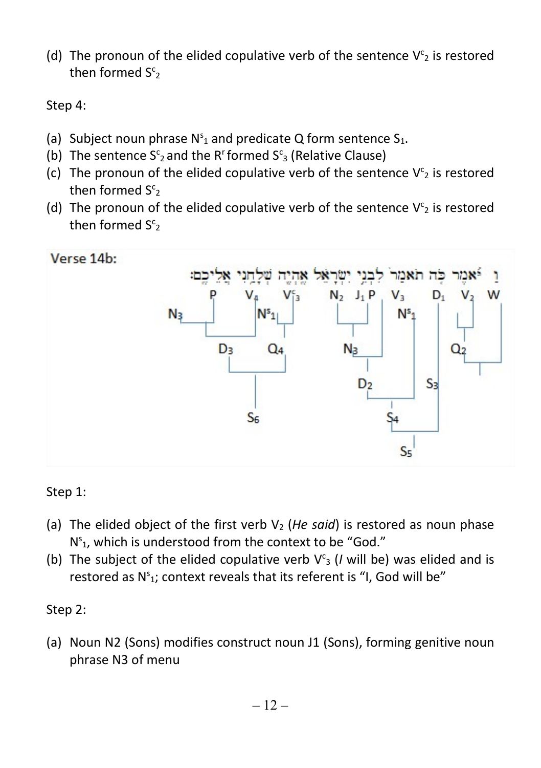(d) The pronoun of the elided copulative verb of the sentence  $V^c_2$  is restored then formed  $S<sup>c</sup>_{2}$ 

Step 4:

- (a) Subject noun phrase  $N_{1}^{s}$  and predicate Q form sentence S<sub>1</sub>.
- (b) The sentence  $S^c_2$  and the R<sup>r</sup> formed  $S^c_3$  (Relative Clause)
- (c) The pronoun of the elided copulative verb of the sentence  $V<sup>c</sup>_{2}$  is restored then formed  $S<sup>c</sup>_{2}$
- (d) The pronoun of the elided copulative verb of the sentence  $V<sup>c</sup>_{2}$  is restored then formed  $S_{2}^{c}$



#### Step 1:

- (a) The elided object of the first verb  $V_2$  (He said) is restored as noun phase  $N_{1}^{s}$ , which is understood from the context to be "God."
- (b) The subject of the elided copulative verb  $V^c$ <sub>3</sub> (*I* will be) was elided and is restored as  $N^{s}$ <sub>1</sub>; context reveals that its referent is "I, God will be"

#### Step 2:

(a) Noun N2 (Sons) modifies construct noun J1 (Sons), forming genitive noun phrase N3 of menu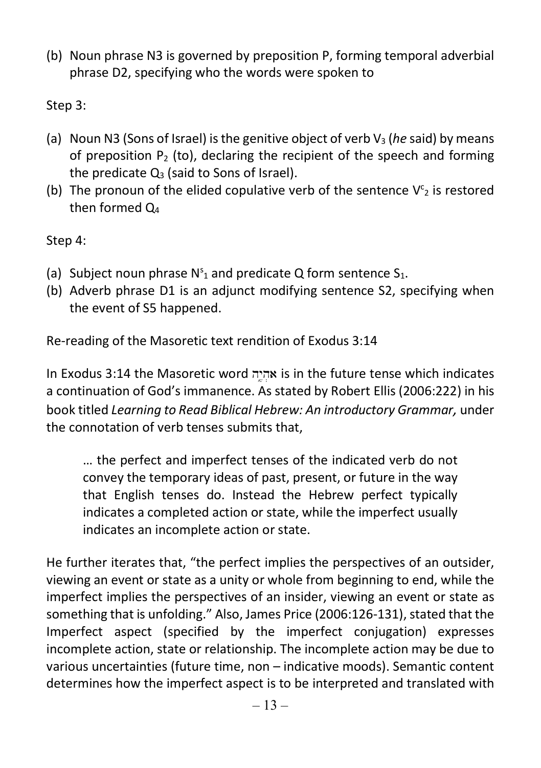(b) Noun phrase N3 is governed by preposition P, forming temporal adverbial phrase D2, specifying who the words were spoken to

Step 3:

- (a) Noun N3 (Sons of Israel) is the genitive object of verb  $V_3$  (he said) by means of preposition  $P_2$  (to), declaring the recipient of the speech and forming the predicate  $Q_3$  (said to Sons of Israel).
- (b) The pronoun of the elided copulative verb of the sentence  $V<sup>c</sup>_{2}$  is restored then formed  $O<sub>4</sub>$

Step 4:

- (a) Subject noun phrase  $N_{1}^{s}$  and predicate Q form sentence S<sub>1</sub>.
- (b) Adverb phrase D1 is an adjunct modifying sentence S2, specifying when the event of S5 happened.

Re-reading of the Masoretic text rendition of Exodus 3:14

In Exodus 3:14 the Masoretic word אִהְיֶה is in the future tense which indicates a continuation of God's immanence. As stated by Robert Ellis (2006:222) in his book titled Learning to Read Biblical Hebrew: An introductory Grammar, under the connotation of verb tenses submits that,

… the perfect and imperfect tenses of the indicated verb do not convey the temporary ideas of past, present, or future in the way that English tenses do. Instead the Hebrew perfect typically indicates a completed action or state, while the imperfect usually indicates an incomplete action or state.

He further iterates that, "the perfect implies the perspectives of an outsider, viewing an event or state as a unity or whole from beginning to end, while the imperfect implies the perspectives of an insider, viewing an event or state as something that is unfolding." Also, James Price (2006:126-131), stated that the Imperfect aspect (specified by the imperfect conjugation) expresses incomplete action, state or relationship. The incomplete action may be due to various uncertainties (future time, non – indicative moods). Semantic content determines how the imperfect aspect is to be interpreted and translated with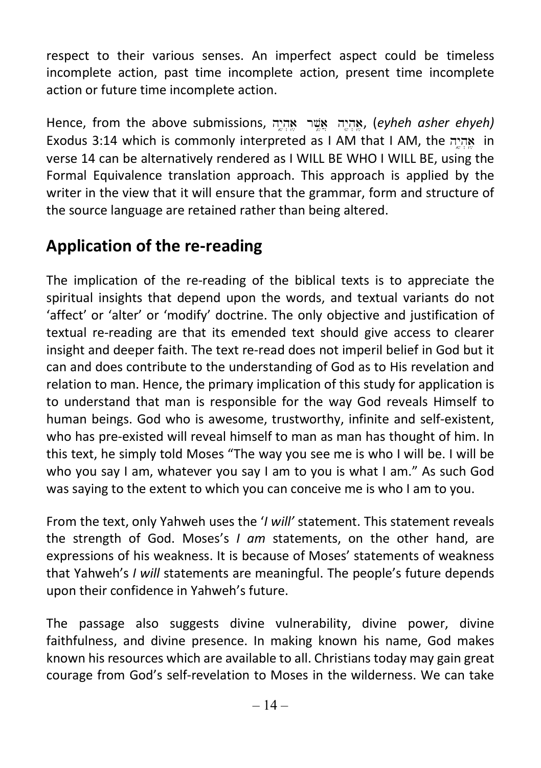respect to their various senses. An imperfect aspect could be timeless incomplete action, past time incomplete action, present time incomplete action or future time incomplete action.

Hence, from the above submissions, אהיה אשר אהיה, (eyheh asher ehyeh) Exodus 3:14 which is commonly interpreted as I AM that I AM, the אהיה in verse 14 can be alternatively rendered as I WILL BE WHO I WILL BE, using the Formal Equivalence translation approach. This approach is applied by the writer in the view that it will ensure that the grammar, form and structure of the source language are retained rather than being altered.

### Application of the re-reading

The implication of the re-reading of the biblical texts is to appreciate the spiritual insights that depend upon the words, and textual variants do not 'affect' or 'alter' or 'modify' doctrine. The only objective and justification of textual re-reading are that its emended text should give access to clearer insight and deeper faith. The text re-read does not imperil belief in God but it can and does contribute to the understanding of God as to His revelation and relation to man. Hence, the primary implication of this study for application is to understand that man is responsible for the way God reveals Himself to human beings. God who is awesome, trustworthy, infinite and self-existent, who has pre-existed will reveal himself to man as man has thought of him. In this text, he simply told Moses "The way you see me is who I will be. I will be who you say I am, whatever you say I am to you is what I am." As such God was saying to the extent to which you can conceive me is who I am to you.

From the text, only Yahweh uses the '*I will'* statement. This statement reveals the strength of God. Moses's  $I$  am statements, on the other hand, are expressions of his weakness. It is because of Moses' statements of weakness that Yahweh's I will statements are meaningful. The people's future depends upon their confidence in Yahweh's future.

The passage also suggests divine vulnerability, divine power, divine faithfulness, and divine presence. In making known his name, God makes known his resources which are available to all. Christians today may gain great courage from God's self-revelation to Moses in the wilderness. We can take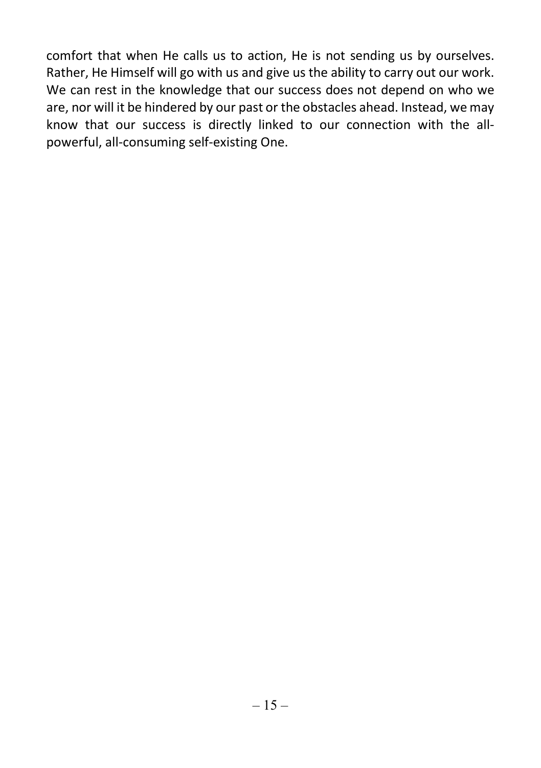comfort that when He calls us to action, He is not sending us by ourselves. Rather, He Himself will go with us and give us the ability to carry out our work. We can rest in the knowledge that our success does not depend on who we are, nor will it be hindered by our past or the obstacles ahead. Instead, we may know that our success is directly linked to our connection with the allpowerful, all-consuming self-existing One.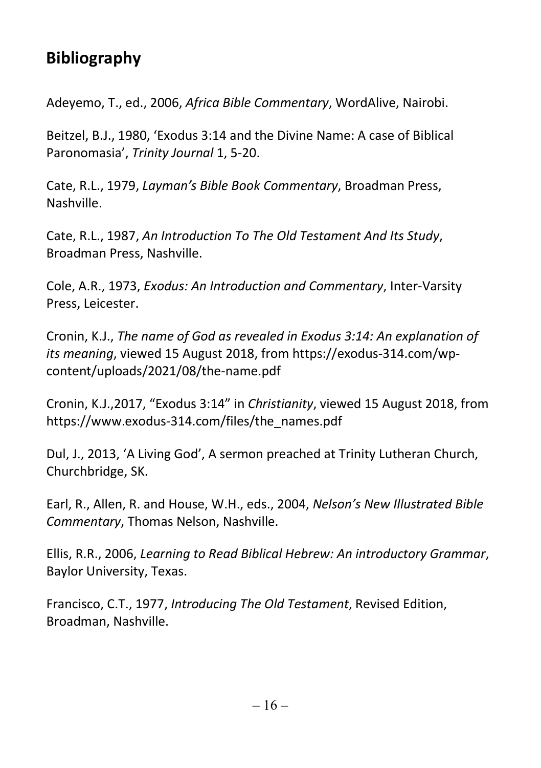## Bibliography

Adeyemo, T., ed., 2006, Africa Bible Commentary, WordAlive, Nairobi.

Beitzel, B.J., 1980, 'Exodus 3:14 and the Divine Name: A case of Biblical Paronomasia', Trinity Journal 1, 5-20.

Cate, R.L., 1979, Layman's Bible Book Commentary, Broadman Press, Nashville.

Cate, R.L., 1987, An Introduction To The Old Testament And Its Study, Broadman Press, Nashville.

Cole, A.R., 1973, Exodus: An Introduction and Commentary, Inter-Varsity Press, Leicester.

Cronin, K.J., The name of God as revealed in Exodus 3:14: An explanation of its meaning, viewed 15 August 2018, from https://exodus-314.com/wpcontent/uploads/2021/08/the-name.pdf

Cronin, K.J.,2017, "Exodus 3:14" in Christianity, viewed 15 August 2018, from https://www.exodus-314.com/files/the\_names.pdf

Dul, J., 2013, 'A Living God', A sermon preached at Trinity Lutheran Church, Churchbridge, SK.

Earl, R., Allen, R. and House, W.H., eds., 2004, Nelson's New Illustrated Bible Commentary, Thomas Nelson, Nashville.

Ellis, R.R., 2006, Learning to Read Biblical Hebrew: An introductory Grammar, Baylor University, Texas.

Francisco, C.T., 1977, Introducing The Old Testament, Revised Edition, Broadman, Nashville.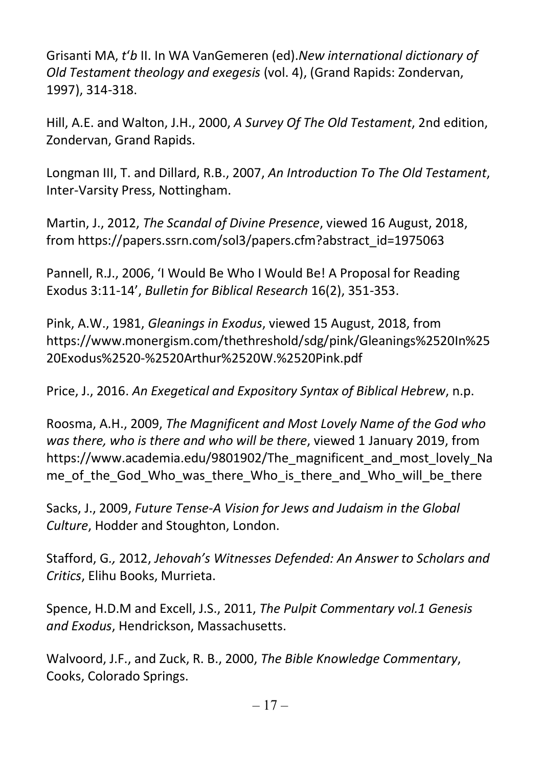Grisanti MA, t'b II. In WA VanGemeren (ed).New international dictionary of Old Testament theology and exegesis (vol. 4), (Grand Rapids: Zondervan, 1997), 314-318.

Hill, A.E. and Walton, J.H., 2000, A Survey Of The Old Testament, 2nd edition, Zondervan, Grand Rapids.

Longman III, T. and Dillard, R.B., 2007, An Introduction To The Old Testament, Inter-Varsity Press, Nottingham.

Martin, J., 2012, The Scandal of Divine Presence, viewed 16 August, 2018, from https://papers.ssrn.com/sol3/papers.cfm?abstract\_id=1975063

Pannell, R.J., 2006, 'I Would Be Who I Would Be! A Proposal for Reading Exodus 3:11-14', Bulletin for Biblical Research 16(2), 351-353.

Pink, A.W., 1981, Gleanings in Exodus, viewed 15 August, 2018, from https://www.monergism.com/thethreshold/sdg/pink/Gleanings%2520In%25 20Exodus%2520-%2520Arthur%2520W.%2520Pink.pdf

Price, J., 2016. An Exegetical and Expository Syntax of Biblical Hebrew, n.p.

Roosma, A.H., 2009, The Magnificent and Most Lovely Name of the God who was there, who is there and who will be there, viewed 1 January 2019, from https://www.academia.edu/9801902/The\_magnificent\_and\_most\_lovely\_Na me of the God Who was there Who is there and Who will be there

Sacks, J., 2009, Future Tense-A Vision for Jews and Judaism in the Global Culture, Hodder and Stoughton, London.

Stafford, G., 2012, Jehovah's Witnesses Defended: An Answer to Scholars and Critics, Elihu Books, Murrieta.

Spence, H.D.M and Excell, J.S., 2011, The Pulpit Commentary vol.1 Genesis and Exodus, Hendrickson, Massachusetts.

Walvoord, J.F., and Zuck, R. B., 2000, The Bible Knowledge Commentary, Cooks, Colorado Springs.